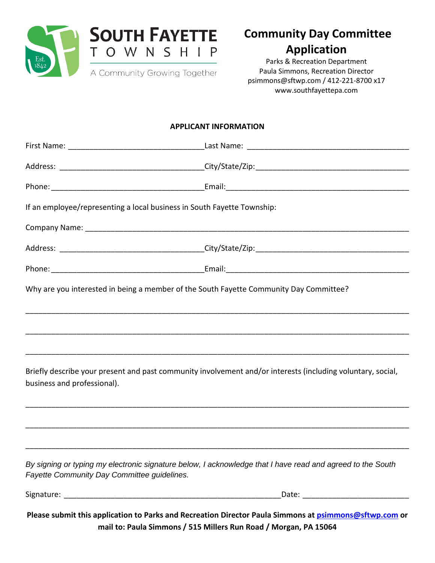

## **Community Day Committee Application**

Parks & Recreation Department Paula Simmons, Recreation Director [psimmons@sftwp.com](mailto:psimmons@sftwp.com) / 412-221-8700 x17 [www.southfayettepa.com](http://www.southfayettepa.com/)

### **APPLICANT INFORMATION**

|                                             | If an employee/representing a local business in South Fayette Township:                                     |  |
|---------------------------------------------|-------------------------------------------------------------------------------------------------------------|--|
|                                             |                                                                                                             |  |
|                                             |                                                                                                             |  |
|                                             |                                                                                                             |  |
|                                             | Why are you interested in being a member of the South Fayette Community Day Committee?                      |  |
|                                             |                                                                                                             |  |
|                                             |                                                                                                             |  |
| business and professional).                 | Briefly describe your present and past community involvement and/or interests (including voluntary, social, |  |
|                                             |                                                                                                             |  |
|                                             |                                                                                                             |  |
| Fayette Community Day Committee guidelines. | By signing or typing my electronic signature below, I acknowledge that I have read and agreed to the South  |  |
| Signature: ________                         | Date: __________                                                                                            |  |

**Please submit this application to Parks and Recreation Director Paula Simmons at [psimmons@sftwp.com](mailto:psimmons@sftwp.com) or mail to: Paula Simmons / 515 Millers Run Road / Morgan, PA 15064**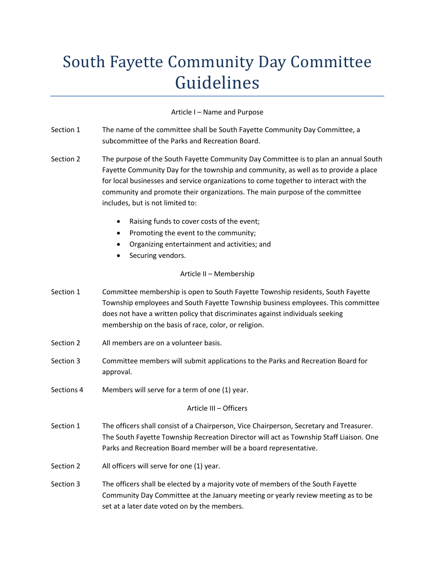# South Fayette Community Day Committee Guidelines

### Article I – Name and Purpose

| Section 1               | The name of the committee shall be South Fayette Community Day Committee, a<br>subcommittee of the Parks and Recreation Board.                                                                                                                                                                                                                                                         |  |
|-------------------------|----------------------------------------------------------------------------------------------------------------------------------------------------------------------------------------------------------------------------------------------------------------------------------------------------------------------------------------------------------------------------------------|--|
| Section 2               | The purpose of the South Fayette Community Day Committee is to plan an annual South<br>Fayette Community Day for the township and community, as well as to provide a place<br>for local businesses and service organizations to come together to interact with the<br>community and promote their organizations. The main purpose of the committee<br>includes, but is not limited to: |  |
|                         | Raising funds to cover costs of the event;<br>$\bullet$                                                                                                                                                                                                                                                                                                                                |  |
|                         | Promoting the event to the community;<br>٠                                                                                                                                                                                                                                                                                                                                             |  |
|                         | Organizing entertainment and activities; and<br>Securing vendors.                                                                                                                                                                                                                                                                                                                      |  |
| Article II - Membership |                                                                                                                                                                                                                                                                                                                                                                                        |  |
| Section 1               | Committee membership is open to South Fayette Township residents, South Fayette<br>Township employees and South Fayette Township business employees. This committee<br>does not have a written policy that discriminates against individuals seeking<br>membership on the basis of race, color, or religion.                                                                           |  |
| Section 2               | All members are on a volunteer basis.                                                                                                                                                                                                                                                                                                                                                  |  |
| Section 3               | Committee members will submit applications to the Parks and Recreation Board for<br>approval.                                                                                                                                                                                                                                                                                          |  |
| Sections 4              | Members will serve for a term of one (1) year.                                                                                                                                                                                                                                                                                                                                         |  |
| Article III - Officers  |                                                                                                                                                                                                                                                                                                                                                                                        |  |
| Section 1               | The officers shall consist of a Chairperson, Vice Chairperson, Secretary and Treasurer.<br>The South Fayette Township Recreation Director will act as Township Staff Liaison. One<br>Parks and Recreation Board member will be a board representative.                                                                                                                                 |  |
| Section 2               | All officers will serve for one (1) year.                                                                                                                                                                                                                                                                                                                                              |  |
| Section 3               | The officers shall be elected by a majority vote of members of the South Fayette<br>Community Day Committee at the January meeting or yearly review meeting as to be<br>set at a later date voted on by the members.                                                                                                                                                                   |  |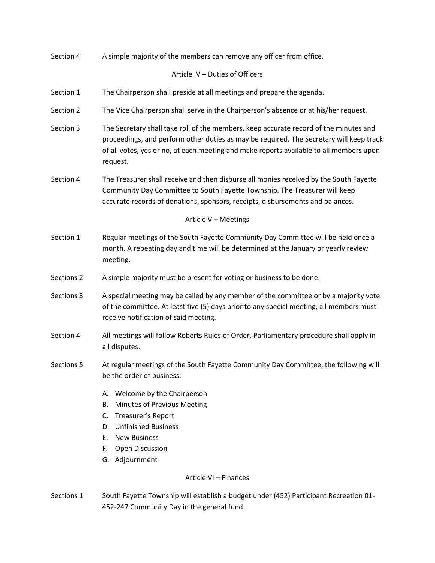| Section 4  | A simple majority of the members can remove any officer from office.                                                                                                                                                                                                                    |  |
|------------|-----------------------------------------------------------------------------------------------------------------------------------------------------------------------------------------------------------------------------------------------------------------------------------------|--|
|            | Article IV - Duties of Officers                                                                                                                                                                                                                                                         |  |
| Section 1  | The Chairperson shall preside at all meetings and prepare the agenda.                                                                                                                                                                                                                   |  |
| Section 2  | The Vice Chairperson shall serve in the Chairperson's absence or at his/her request.                                                                                                                                                                                                    |  |
| Section 3  | The Secretary shall take roll of the members, keep accurate record of the minutes and<br>proceedings, and perform other duties as may be required. The Secretary will keep track<br>of all votes, yes or no, at each meeting and make reports available to all members upon<br>request. |  |
| Section 4  | The Treasurer shall receive and then disburse all monies received by the South Fayette<br>Community Day Committee to South Fayette Township. The Treasurer will keep<br>accurate records of donations, sponsors, receipts, disbursements and balances.                                  |  |
|            | Article V - Meetings                                                                                                                                                                                                                                                                    |  |
| Section 1  | Regular meetings of the South Fayette Community Day Committee will be held once a<br>month. A repeating day and time will be determined at the January or yearly review<br>meeting.                                                                                                     |  |
| Sections 2 | A simple majority must be present for voting or business to be done.                                                                                                                                                                                                                    |  |
| Sections 3 | A special meeting may be called by any member of the committee or by a majority vote<br>of the committee. At least five (5) days prior to any special meeting, all members must<br>receive notification of said meeting.                                                                |  |
| Section 4  | All meetings will follow Roberts Rules of Order. Parliamentary procedure shall apply in<br>all disputes.                                                                                                                                                                                |  |
| Sections 5 | At regular meetings of the South Fayette Community Day Committee, the following will<br>be the order of business:                                                                                                                                                                       |  |
|            | Welcome by the Chairperson<br>А.<br>Minutes of Previous Meeting<br>В.<br>Treasurer's Report<br>C.<br><b>Unfinished Business</b><br>D.<br>E.<br><b>New Business</b><br>F.<br><b>Open Discussion</b><br>G. Adjournment                                                                    |  |
|            | Article VI - Finances                                                                                                                                                                                                                                                                   |  |
| Sections 1 | South Fayette Township will establish a budget under (452) Participant Recreation 01-                                                                                                                                                                                                   |  |

452-247 Community Day in the general fund.